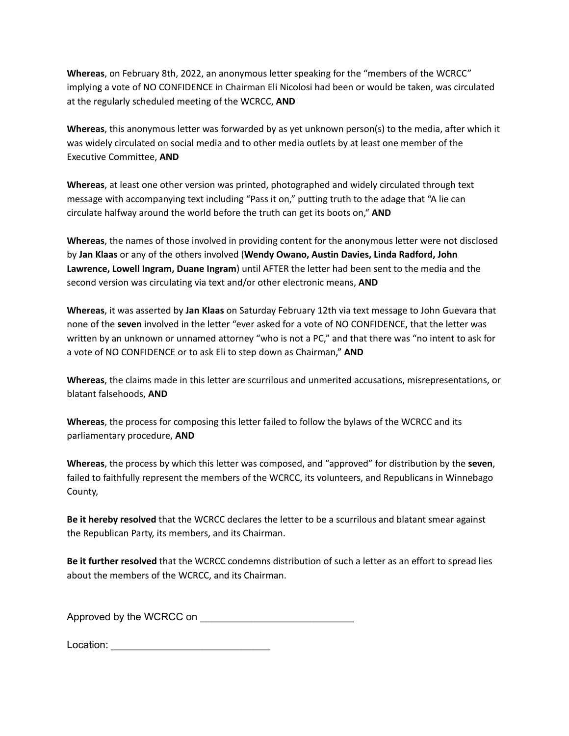**Whereas**, on February 8th, 2022, an anonymous letter speaking for the "members of the WCRCC" implying a vote of NO CONFIDENCE in Chairman Eli Nicolosi had been or would be taken, was circulated at the regularly scheduled meeting of the WCRCC, **AND**

**Whereas**, this anonymous letter was forwarded by as yet unknown person(s) to the media, after which it was widely circulated on social media and to other media outlets by at least one member of the Executive Committee, **AND**

**Whereas**, at least one other version was printed, photographed and widely circulated through text message with accompanying text including "Pass it on," putting truth to the adage that "A lie can circulate halfway around the world before the truth can get its boots on," **AND**

**Whereas**, the names of those involved in providing content for the anonymous letter were not disclosed by **Jan Klaas** or any of the others involved (**Wendy Owano, Austin Davies, Linda Radford, John Lawrence, Lowell Ingram, Duane Ingram**) until AFTER the letter had been sent to the media and the second version was circulating via text and/or other electronic means, **AND**

**Whereas**, it was asserted by **Jan Klaas** on Saturday February 12th via text message to John Guevara that none of the **seven** involved in the letter "ever asked for a vote of NO CONFIDENCE, that the letter was written by an unknown or unnamed attorney "who is not a PC," and that there was "no intent to ask for a vote of NO CONFIDENCE or to ask Eli to step down as Chairman," **AND**

**Whereas**, the claims made in this letter are scurrilous and unmerited accusations, misrepresentations, or blatant falsehoods, **AND**

**Whereas**, the process for composing this letter failed to follow the bylaws of the WCRCC and its parliamentary procedure, **AND**

**Whereas**, the process by which this letter was composed, and "approved" for distribution by the **seven**, failed to faithfully represent the members of the WCRCC, its volunteers, and Republicans in Winnebago County,

**Be it hereby resolved** that the WCRCC declares the letter to be a scurrilous and blatant smear against the Republican Party, its members, and its Chairman.

**Be it further resolved** that the WCRCC condemns distribution of such a letter as an effort to spread lies about the members of the WCRCC, and its Chairman.

Approved by the WCRCC on

Location: \_\_\_\_\_\_\_\_\_\_\_\_\_\_\_\_\_\_\_\_\_\_\_\_\_\_\_\_